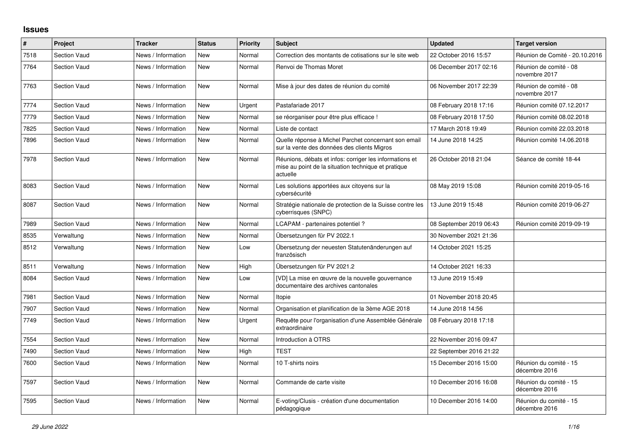## **Issues**

| $\vert$ # | Project             | <b>Tracker</b>     | <b>Status</b> | Priority | <b>Subject</b>                                                                                                             | <b>Updated</b>          | <b>Target version</b>                   |
|-----------|---------------------|--------------------|---------------|----------|----------------------------------------------------------------------------------------------------------------------------|-------------------------|-----------------------------------------|
| 7518      | <b>Section Vaud</b> | News / Information | <b>New</b>    | Normal   | Correction des montants de cotisations sur le site web                                                                     | 22 October 2016 15:57   | Réunion de Comité - 20.10.2016          |
| 7764      | <b>Section Vaud</b> | News / Information | <b>New</b>    | Normal   | Renvoi de Thomas Moret                                                                                                     | 06 December 2017 02:16  | Réunion de comité - 08<br>novembre 2017 |
| 7763      | Section Vaud        | News / Information | <b>New</b>    | Normal   | Mise à jour des dates de réunion du comité                                                                                 | 06 November 2017 22:39  | Réunion de comité - 08<br>novembre 2017 |
| 7774      | Section Vaud        | News / Information | New           | Urgent   | Pastafariade 2017                                                                                                          | 08 February 2018 17:16  | Réunion comité 07.12.2017               |
| 7779      | <b>Section Vaud</b> | News / Information | <b>New</b>    | Normal   | se réorganiser pour être plus efficace !                                                                                   | 08 February 2018 17:50  | Réunion comité 08.02.2018               |
| 7825      | Section Vaud        | News / Information | <b>New</b>    | Normal   | Liste de contact                                                                                                           | 17 March 2018 19:49     | Réunion comité 22.03.2018               |
| 7896      | <b>Section Vaud</b> | News / Information | New           | Normal   | Quelle réponse à Michel Parchet concernant son email<br>sur la vente des données des clients Migros                        | 14 June 2018 14:25      | Réunion comité 14.06.2018               |
| 7978      | Section Vaud        | News / Information | New           | Normal   | Réunions, débats et infos: corriger les informations et<br>mise au point de la situation technique et pratique<br>actuelle | 26 October 2018 21:04   | Séance de comité 18-44                  |
| 8083      | <b>Section Vaud</b> | News / Information | <b>New</b>    | Normal   | Les solutions apportées aux citoyens sur la<br>cybersécurité                                                               | 08 May 2019 15:08       | Réunion comité 2019-05-16               |
| 8087      | <b>Section Vaud</b> | News / Information | New           | Normal   | Stratégie nationale de protection de la Suisse contre les<br>cyberrisques (SNPC)                                           | 13 June 2019 15:48      | Réunion comité 2019-06-27               |
| 7989      | Section Vaud        | News / Information | New           | Normal   | LCAPAM - partenaires potentiel?                                                                                            | 08 September 2019 06:43 | Réunion comité 2019-09-19               |
| 8535      | Verwaltung          | News / Information | <b>New</b>    | Normal   | Übersetzungen für PV 2022.1                                                                                                | 30 November 2021 21:36  |                                         |
| 8512      | Verwaltung          | News / Information | <b>New</b>    | Low      | Übersetzung der neuesten Statutenänderungen auf<br>französisch                                                             | 14 October 2021 15:25   |                                         |
| 8511      | Verwaltung          | News / Information | <b>New</b>    | High     | Übersetzungen für PV 2021.2                                                                                                | 14 October 2021 16:33   |                                         |
| 8084      | <b>Section Vaud</b> | News / Information | <b>New</b>    | Low      | [VD] La mise en œuvre de la nouvelle gouvernance<br>documentaire des archives cantonales                                   | 13 June 2019 15:49      |                                         |
| 7981      | Section Vaud        | News / Information | <b>New</b>    | Normal   | Itopie                                                                                                                     | 01 November 2018 20:45  |                                         |
| 7907      | <b>Section Vaud</b> | News / Information | <b>New</b>    | Normal   | Organisation et planification de la 3ème AGE 2018                                                                          | 14 June 2018 14:56      |                                         |
| 7749      | <b>Section Vaud</b> | News / Information | <b>New</b>    | Urgent   | Requête pour l'organisation d'une Assemblée Générale<br>extraordinaire                                                     | 08 February 2018 17:18  |                                         |
| 7554      | <b>Section Vaud</b> | News / Information | <b>New</b>    | Normal   | Introduction à OTRS                                                                                                        | 22 November 2016 09:47  |                                         |
| 7490      | <b>Section Vaud</b> | News / Information | <b>New</b>    | High     | <b>TEST</b>                                                                                                                | 22 September 2016 21:22 |                                         |
| 7600      | <b>Section Vaud</b> | News / Information | <b>New</b>    | Normal   | 10 T-shirts noirs                                                                                                          | 15 December 2016 15:00  | Réunion du comité - 15<br>décembre 2016 |
| 7597      | <b>Section Vaud</b> | News / Information | <b>New</b>    | Normal   | Commande de carte visite                                                                                                   | 10 December 2016 16:08  | Réunion du comité - 15<br>décembre 2016 |
| 7595      | <b>Section Vaud</b> | News / Information | <b>New</b>    | Normal   | E-voting/Clusis - création d'une documentation<br>pédagogique                                                              | 10 December 2016 14:00  | Réunion du comité - 15<br>décembre 2016 |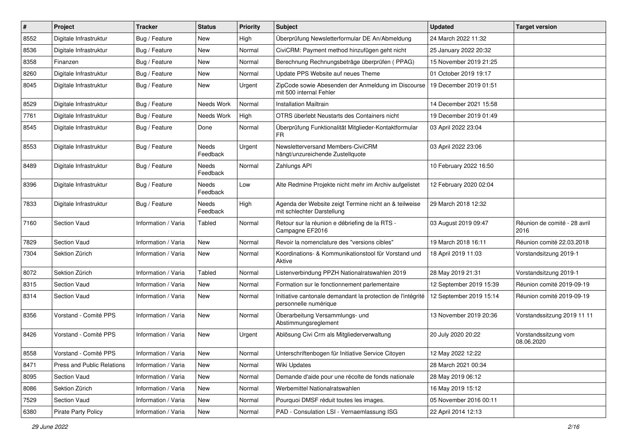| #    | Project                    | <b>Tracker</b>      | <b>Status</b>     | <b>Priority</b> | Subject                                                                              | <b>Updated</b>          | <b>Target version</b>                |
|------|----------------------------|---------------------|-------------------|-----------------|--------------------------------------------------------------------------------------|-------------------------|--------------------------------------|
| 8552 | Digitale Infrastruktur     | Bug / Feature       | New               | High            | Überprüfung Newsletterformular DE An/Abmeldung                                       | 24 March 2022 11:32     |                                      |
| 8536 | Digitale Infrastruktur     | Bug / Feature       | <b>New</b>        | Normal          | CiviCRM: Payment method hinzufügen geht nicht                                        | 25 January 2022 20:32   |                                      |
| 8358 | Finanzen                   | Bug / Feature       | New               | Normal          | Berechnung Rechnungsbeträge überprüfen (PPAG)                                        | 15 November 2019 21:25  |                                      |
| 8260 | Digitale Infrastruktur     | Bug / Feature       | <b>New</b>        | Normal          | Update PPS Website auf neues Theme                                                   | 01 October 2019 19:17   |                                      |
| 8045 | Digitale Infrastruktur     | Bug / Feature       | <b>New</b>        | Urgent          | ZipCode sowie Abesenden der Anmeldung im Discourse<br>mit 500 internal Fehler        | 19 December 2019 01:51  |                                      |
| 8529 | Digitale Infrastruktur     | Bug / Feature       | Needs Work        | Normal          | <b>Installation Mailtrain</b>                                                        | 14 December 2021 15:58  |                                      |
| 7761 | Digitale Infrastruktur     | Bug / Feature       | Needs Work        | High            | OTRS überlebt Neustarts des Containers nicht                                         | 19 December 2019 01:49  |                                      |
| 8545 | Digitale Infrastruktur     | Bug / Feature       | Done              | Normal          | Überprüfung Funktionalität Mitglieder-Kontaktformular<br>FR.                         | 03 April 2022 23:04     |                                      |
| 8553 | Digitale Infrastruktur     | Bug / Feature       | Needs<br>Feedback | Urgent          | Newsletterversand Members-CiviCRM<br>hängt/unzureichende Zustellquote                | 03 April 2022 23:06     |                                      |
| 8489 | Digitale Infrastruktur     | Bug / Feature       | Needs<br>Feedback | Normal          | Zahlungs API                                                                         | 10 February 2022 16:50  |                                      |
| 8396 | Digitale Infrastruktur     | Bug / Feature       | Needs<br>Feedback | Low             | Alte Redmine Projekte nicht mehr im Archiv aufgelistet                               | 12 February 2020 02:04  |                                      |
| 7833 | Digitale Infrastruktur     | Bug / Feature       | Needs<br>Feedback | High            | Agenda der Website zeigt Termine nicht an & teilweise<br>mit schlechter Darstellung  | 29 March 2018 12:32     |                                      |
| 7160 | Section Vaud               | Information / Varia | Tabled            | Normal          | Retour sur la réunion e débriefing de la RTS -<br>Campagne EF2016                    | 03 August 2019 09:47    | Réunion de comité - 28 avril<br>2016 |
| 7829 | Section Vaud               | Information / Varia | <b>New</b>        | Normal          | Revoir la nomenclature des "versions cibles"                                         | 19 March 2018 16:11     | Réunion comité 22.03.2018            |
| 7304 | Sektion Zürich             | Information / Varia | New               | Normal          | Koordinations- & Kommunikationstool für Vorstand und<br>Aktive                       | 18 April 2019 11:03     | Vorstandsitzung 2019-1               |
| 8072 | Sektion Zürich             | Information / Varia | Tabled            | Normal          | Listenverbindung PPZH Nationalratswahlen 2019                                        | 28 May 2019 21:31       | Vorstandsitzung 2019-1               |
| 8315 | Section Vaud               | Information / Varia | New               | Normal          | Formation sur le fonctionnement parlementaire                                        | 12 September 2019 15:39 | Réunion comité 2019-09-19            |
| 8314 | Section Vaud               | Information / Varia | New               | Normal          | Initiative cantonale demandant la protection de l'intégrité<br>personnelle numérique | 12 September 2019 15:14 | Réunion comité 2019-09-19            |
| 8356 | Vorstand - Comité PPS      | Information / Varia | New               | Normal          | Überarbeitung Versammlungs- und<br>Abstimmungsreglement                              | 13 November 2019 20:36  | Vorstandssitzung 2019 11 11          |
| 8426 | Vorstand - Comité PPS      | Information / Varia | New               | Urgent          | Ablösung Civi Crm als Mitgliederverwaltung                                           | 20 July 2020 20:22      | Vorstandssitzung vom<br>08.06.2020   |
| 8558 | Vorstand - Comité PPS      | Information / Varia | New               | Normal          | Unterschriftenbogen für Initiative Service Citoyen                                   | 12 May 2022 12:22       |                                      |
| 8471 | Press and Public Relations | Information / Varia | New               | Normal          | Wiki Updates                                                                         | 28 March 2021 00:34     |                                      |
| 8095 | Section Vaud               | Information / Varia | New               | Normal          | Demande d'aide pour une récolte de fonds nationale                                   | 28 May 2019 06:12       |                                      |
| 8086 | Sektion Zürich             | Information / Varia | New               | Normal          | Werbemittel Nationalratswahlen                                                       | 16 May 2019 15:12       |                                      |
| 7529 | Section Vaud               | Information / Varia | New               | Normal          | Pourquoi DMSF réduit toutes les images.                                              | 05 November 2016 00:11  |                                      |
| 6380 | Pirate Party Policy        | Information / Varia | New               | Normal          | PAD - Consulation LSI - Vernaemlassung ISG                                           | 22 April 2014 12:13     |                                      |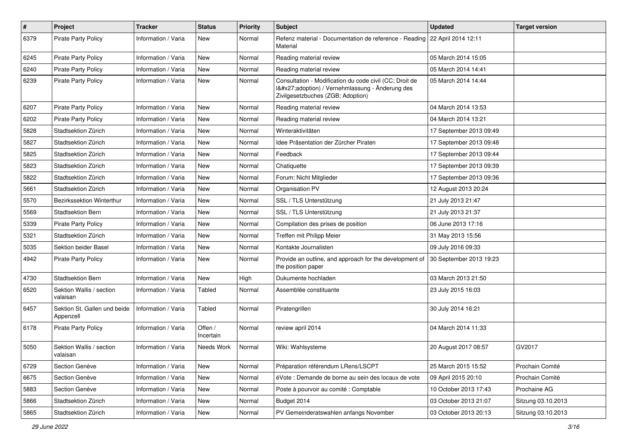| $\pmb{\#}$ | Project                                   | <b>Tracker</b>      | <b>Status</b>        | <b>Priority</b> | Subject                                                                                                                                     | <b>Updated</b>          | <b>Target version</b> |
|------------|-------------------------------------------|---------------------|----------------------|-----------------|---------------------------------------------------------------------------------------------------------------------------------------------|-------------------------|-----------------------|
| 6379       | Pirate Party Policy                       | Information / Varia | New                  | Normal          | Refenz material - Documentation de reference - Reading   22 April 2014 12:11<br>Material                                                    |                         |                       |
| 6245       | <b>Pirate Party Policy</b>                | Information / Varia | New                  | Normal          | Reading material review                                                                                                                     | 05 March 2014 15:05     |                       |
| 6240       | <b>Pirate Party Policy</b>                | Information / Varia | New                  | Normal          | Reading material review                                                                                                                     | 05 March 2014 14:41     |                       |
| 6239       | <b>Pirate Party Policy</b>                | Information / Varia | <b>New</b>           | Normal          | Consultation - Modification du code civil (CC; Droit de<br>I'adoption) / Vernehmlassung - Änderung des<br>Zivilgesetzbuches (ZGB; Adoption) | 05 March 2014 14:44     |                       |
| 6207       | <b>Pirate Party Policy</b>                | Information / Varia | <b>New</b>           | Normal          | Reading material review                                                                                                                     | 04 March 2014 13:53     |                       |
| 6202       | <b>Pirate Party Policy</b>                | Information / Varia | <b>New</b>           | Normal          | Reading material review                                                                                                                     | 04 March 2014 13:21     |                       |
| 5828       | Stadtsektion Zürich                       | Information / Varia | <b>New</b>           | Normal          | Winteraktivitäten                                                                                                                           | 17 September 2013 09:49 |                       |
| 5827       | Stadtsektion Zürich                       | Information / Varia | New                  | Normal          | Idee Präsentation der Zürcher Piraten                                                                                                       | 17 September 2013 09:48 |                       |
| 5825       | Stadtsektion Zürich                       | Information / Varia | New                  | Normal          | Feedback                                                                                                                                    | 17 September 2013 09:44 |                       |
| 5823       | Stadtsektion Zürich                       | Information / Varia | <b>New</b>           | Normal          | Chatiquette                                                                                                                                 | 17 September 2013 09:39 |                       |
| 5822       | Stadtsektion Zürich                       | Information / Varia | New                  | Normal          | Forum: Nicht Mitglieder                                                                                                                     | 17 September 2013 09:36 |                       |
| 5661       | Stadtsektion Zürich                       | Information / Varia | <b>New</b>           | Normal          | Organisation PV                                                                                                                             | 12 August 2013 20:24    |                       |
| 5570       | Bezirkssektion Winterthur                 | Information / Varia | New                  | Normal          | SSL / TLS Unterstützung                                                                                                                     | 21 July 2013 21:47      |                       |
| 5569       | Stadtsektion Bern                         | Information / Varia | <b>New</b>           | Normal          | SSL / TLS Unterstützung                                                                                                                     | 21 July 2013 21:37      |                       |
| 5339       | <b>Pirate Party Policy</b>                | Information / Varia | New                  | Normal          | Compilation des prises de position                                                                                                          | 06 June 2013 17:16      |                       |
| 5321       | Stadtsektion Zürich                       | Information / Varia | <b>New</b>           | Normal          | Treffen mit Philipp Meier                                                                                                                   | 31 May 2013 15:56       |                       |
| 5035       | Sektion beider Basel                      | Information / Varia | New                  | Normal          | Kontakte Journalisten                                                                                                                       | 09 July 2016 09:33      |                       |
| 4942       | <b>Pirate Party Policy</b>                | Information / Varia | New                  | Normal          | Provide an outline, and approach for the development of<br>the position paper                                                               | 30 September 2013 19:23 |                       |
| 4730       | Stadtsektion Bern                         | Information / Varia | <b>New</b>           | High            | Dukumente hochladen                                                                                                                         | 03 March 2013 21:50     |                       |
| 6520       | Sektion Wallis / section<br>valaisan      | Information / Varia | Tabled               | Normal          | Assemblée constituante                                                                                                                      | 23 July 2015 16:03      |                       |
| 6457       | Sektion St. Gallen und beide<br>Appenzell | Information / Varia | Tabled               | Normal          | Piratengrillen                                                                                                                              | 30 July 2014 16:21      |                       |
| 6178       | <b>Pirate Party Policy</b>                | Information / Varia | Offen /<br>Incertain | Normal          | review april 2014                                                                                                                           | 04 March 2014 11:33     |                       |
| 5050       | Sektion Wallis / section<br>valaisan      | Information / Varia | Needs Work           | Normal          | Wiki: Wahlsysteme                                                                                                                           | 20 August 2017 08:57    | GV2017                |
| 6729       | Section Genève                            | Information / Varia | <b>New</b>           | Normal          | Préparation référendum LRens/LSCPT                                                                                                          | 25 March 2015 15:52     | Prochain Comité       |
| 6675       | Section Genève                            | Information / Varia | New                  | Normal          | éVote : Demande de borne au sein des locaux de vote                                                                                         | 09 April 2015 20:10     | Prochain Comité       |
| 5883       | Section Genève                            | Information / Varia | New                  | Normal          | Poste à pourvoir au comité : Comptable                                                                                                      | 10 October 2013 17:43   | Prochaine AG          |
| 5866       | Stadtsektion Zürich                       | Information / Varia | New                  | Normal          | Budget 2014                                                                                                                                 | 03 October 2013 21:07   | Sitzung 03.10.2013    |
| 5865       | Stadtsektion Zürich                       | Information / Varia | New                  | Normal          | PV Gemeinderatswahlen anfangs November                                                                                                      | 03 October 2013 20:13   | Sitzung 03.10.2013    |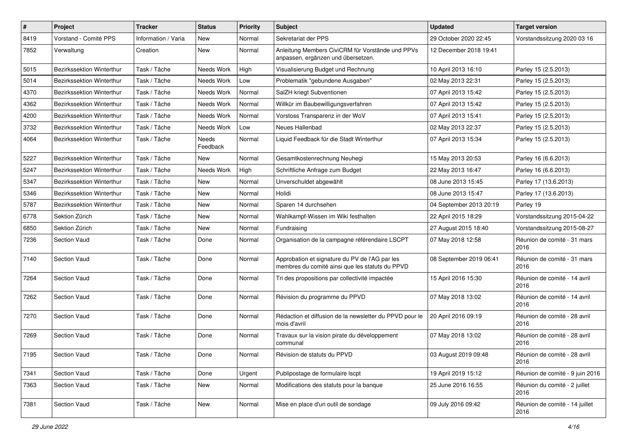| $\#$ | Project                   | <b>Tracker</b>      | <b>Status</b>     | <b>Priority</b> | <b>Subject</b>                                                                                    | <b>Updated</b>          | <b>Target version</b>                  |
|------|---------------------------|---------------------|-------------------|-----------------|---------------------------------------------------------------------------------------------------|-------------------------|----------------------------------------|
| 8419 | Vorstand - Comité PPS     | Information / Varia | New               | Normal          | Sekretariat der PPS                                                                               | 29 October 2020 22:45   | Vorstandssitzung 2020 03 16            |
| 7852 | Verwaltung                | Creation            | New               | Normal          | Anleitung Members CiviCRM für Vorstände und PPVs<br>anpassen, ergänzen und übersetzen.            | 12 December 2018 19:41  |                                        |
| 5015 | Bezirkssektion Winterthur | Task / Tâche        | Needs Work        | High            | Visualisierung Budget und Rechnung                                                                | 10 April 2013 16:10     | Parley 15 (2.5.2013)                   |
| 5014 | Bezirkssektion Winterthur | Task / Tâche        | Needs Work        | Low             | Problematik "gebundene Ausgaben"                                                                  | 02 May 2013 22:31       | Parley 15 (2.5.2013)                   |
| 4370 | Bezirkssektion Winterthur | Task / Tâche        | Needs Work        | Normal          | SalZH kriegt Subventionen                                                                         | 07 April 2013 15:42     | Parley 15 (2.5.2013)                   |
| 4362 | Bezirkssektion Winterthur | Task / Tâche        | Needs Work        | Normal          | Willkür im Baubewilligungsverfahren                                                               | 07 April 2013 15:42     | Parley 15 (2.5.2013)                   |
| 4200 | Bezirkssektion Winterthur | Task / Tâche        | Needs Work        | Normal          | Vorstoss Transparenz in der WoV                                                                   | 07 April 2013 15:41     | Parley 15 (2.5.2013)                   |
| 3732 | Bezirkssektion Winterthur | Task / Tâche        | Needs Work        | Low             | Neues Hallenbad                                                                                   | 02 May 2013 22:37       | Parley 15 (2.5.2013)                   |
| 4064 | Bezirkssektion Winterthur | Task / Tâche        | Needs<br>Feedback | Normal          | Liquid Feedback für die Stadt Winterthur                                                          | 07 April 2013 15:34     | Parley 15 (2.5.2013)                   |
| 5227 | Bezirkssektion Winterthur | Task / Tâche        | New               | Normal          | Gesamtkostenrechnung Neuhegi                                                                      | 15 May 2013 20:53       | Parley 16 (6.6.2013)                   |
| 5247 | Bezirkssektion Winterthur | Task / Tâche        | Needs Work        | High            | Schriftliche Anfrage zum Budget                                                                   | 22 May 2013 16:47       | Parley 16 (6.6.2013)                   |
| 5347 | Bezirkssektion Winterthur | Task / Tâche        | New               | Normal          | Unverschuldet abgewählt                                                                           | 08 June 2013 15:45      | Parley 17 (13.6.2013)                  |
| 5346 | Bezirkssektion Winterthur | Task / Tâche        | New               | Normal          | Holidi                                                                                            | 08 June 2013 15:47      | Parley 17 (13.6.2013)                  |
| 5787 | Bezirkssektion Winterthur | Task / Tâche        | New               | Normal          | Sparen 14 durchsehen                                                                              | 04 September 2013 20:19 | Parley 19                              |
| 6778 | Sektion Zürich            | Task / Tâche        | New               | Normal          | Wahlkampf-Wissen im Wiki festhalten                                                               | 22 April 2015 18:29     | Vorstandssitzung 2015-04-22            |
| 6850 | Sektion Zürich            | Task / Tâche        | New               | Normal          | Fundraising                                                                                       | 27 August 2015 18:40    | Vorstandssitzung 2015-08-27            |
| 7236 | Section Vaud              | Task / Tâche        | Done              | Normal          | Organisation de la campagne référendaire LSCPT                                                    | 07 May 2018 12:58       | Réunion de comité - 31 mars<br>2016    |
| 7140 | <b>Section Vaud</b>       | Task / Tâche        | Done              | Normal          | Approbation et signature du PV de l'AG par les<br>membres du comité ainsi que les statuts du PPVD | 08 September 2019 06:41 | Réunion de comité - 31 mars<br>2016    |
| 7264 | Section Vaud              | Task / Tâche        | Done              | Normal          | Tri des propositions par collectivité impactée                                                    | 15 April 2016 15:30     | Réunion de comité - 14 avril<br>2016   |
| 7262 | Section Vaud              | Task / Tâche        | Done              | Normal          | Révision du programme du PPVD                                                                     | 07 May 2018 13:02       | Réunion de comité - 14 avril<br>2016   |
| 7270 | Section Vaud              | Task / Tâche        | Done              | Normal          | Rédaction et diffusion de la newsletter du PPVD pour le<br>mois d'avril                           | 20 April 2016 09:19     | Réunion de comité - 28 avril<br>2016   |
| 7269 | Section Vaud              | Task / Tâche        | Done              | Normal          | Travaux sur la vision pirate du développement<br>communal                                         | 07 May 2018 13:02       | Réunion de comité - 28 avril<br>2016   |
| 7195 | Section Vaud              | Task / Tâche        | Done              | Normal          | Révision de statuts du PPVD                                                                       | 03 August 2019 09:48    | Réunion de comité - 28 avril<br>2016   |
| 7341 | Section Vaud              | Task / Tâche        | Done              | Urgent          | Publipostage de formulaire Iscpt                                                                  | 19 April 2019 15:12     | Réunion de comité - 9 juin 2016        |
| 7363 | Section Vaud              | Task / Tâche        | New               | Normal          | Modifications des statuts pour la banque                                                          | 25 June 2016 16:55      | Réunion du comité - 2 juillet<br>2016  |
| 7381 | Section Vaud              | Task / Tâche        | New               | Normal          | Mise en place d'un outil de sondage                                                               | 09 July 2016 09:42      | Réunion de comité - 14 juillet<br>2016 |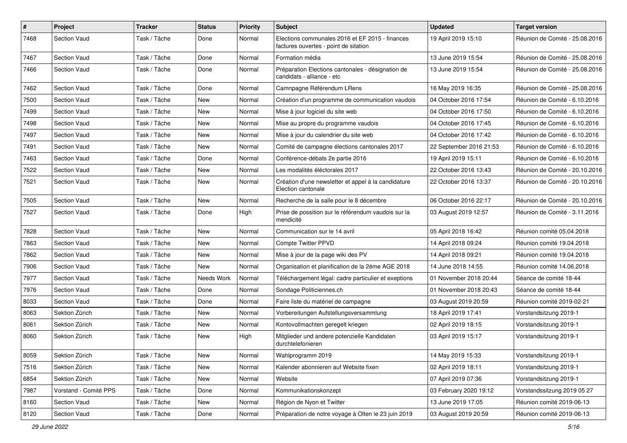| $\sharp$ | Project               | <b>Tracker</b> | <b>Status</b> | <b>Priority</b> | Subject                                                                                  | <b>Updated</b>          | <b>Target version</b>          |
|----------|-----------------------|----------------|---------------|-----------------|------------------------------------------------------------------------------------------|-------------------------|--------------------------------|
| 7468     | <b>Section Vaud</b>   | Task / Tâche   | Done          | Normal          | Elections communales 2016 et EF 2015 - finances<br>factures ouvertes - point de sitation | 19 April 2019 15:10     | Réunion de Comité - 25.08.2016 |
| 7467     | <b>Section Vaud</b>   | Task / Tâche   | Done          | Normal          | Formation média                                                                          | 13 June 2019 15:54      | Réunion de Comité - 25.08.2016 |
| 7466     | <b>Section Vaud</b>   | Task / Tâche   | Done          | Normal          | Préparation Elections cantonales - désignation de<br>candidats - alliance - etc          | 13 June 2019 15:54      | Réunion de Comité - 25.08.2016 |
| 7462     | <b>Section Vaud</b>   | Task / Tâche   | Done          | Normal          | Camnpagne Référendum LRens                                                               | 16 May 2019 16:35       | Réunion de Comité - 25.08.2016 |
| 7500     | <b>Section Vaud</b>   | Task / Tâche   | New           | Normal          | Création d'un programme de communication vaudois                                         | 04 October 2016 17:54   | Réunion de Comité - 6.10.2016  |
| 7499     | <b>Section Vaud</b>   | Task / Tâche   | New           | Normal          | Mise à jour logiciel du site web                                                         | 04 October 2016 17:50   | Réunion de Comité - 6.10.2016  |
| 7498     | <b>Section Vaud</b>   | Task / Tâche   | New           | Normal          | Mise au propre du programme vaudois                                                      | 04 October 2016 17:45   | Réunion de Comité - 6.10.2016  |
| 7497     | <b>Section Vaud</b>   | Task / Tâche   | New           | Normal          | Mise à jour du calendrier du site web                                                    | 04 October 2016 17:42   | Réunion de Comité - 6.10.2016  |
| 7491     | <b>Section Vaud</b>   | Task / Tâche   | New           | Normal          | Comité de campagne élections cantonales 2017                                             | 22 September 2016 21:53 | Réunion de Comité - 6.10.2016  |
| 7463     | <b>Section Vaud</b>   | Task / Tâche   | Done          | Normal          | Conférence-débats 2e partie 2016                                                         | 19 April 2019 15:11     | Réunion de Comité - 6.10.2016  |
| 7522     | Section Vaud          | Task / Tâche   | New           | Normal          | Les modalités éléctorales 2017                                                           | 22 October 2016 13:43   | Réunion de Comité - 20.10.2016 |
| 7521     | <b>Section Vaud</b>   | Task / Tâche   | New           | Normal          | Création d'une newsletter et appel à la candidature<br>Election cantonale                | 22 October 2016 13:37   | Réunion de Comité - 20.10.2016 |
| 7505     | Section Vaud          | Task / Tâche   | New           | Normal          | Recherche de la salle pour le 8 décembre                                                 | 06 October 2016 22:17   | Réunion de Comité - 20.10.2016 |
| 7527     | <b>Section Vaud</b>   | Task / Tâche   | Done          | High            | Prise de possition sur le référendum vaudois sur la<br>mendicité                         | 03 August 2019 12:57    | Réunion de Comité - 3.11.2016  |
| 7828     | Section Vaud          | Task / Tâche   | New           | Normal          | Communication sur le 14 avril                                                            | 05 April 2018 16:42     | Réunion comité 05.04.2018      |
| 7863     | <b>Section Vaud</b>   | Task / Tâche   | New           | Normal          | <b>Compte Twitter PPVD</b>                                                               | 14 April 2018 09:24     | Réunion comité 19.04.2018      |
| 7862     | <b>Section Vaud</b>   | Task / Tâche   | New           | Normal          | Mise à jour de la page wiki des PV                                                       | 14 April 2018 09:21     | Réunion comité 19.04.2018      |
| 7906     | <b>Section Vaud</b>   | Task / Tâche   | New           | Normal          | Organisation et planification de la 2ème AGE 2018                                        | 14 June 2018 14:55      | Réunion comité 14.06.2018      |
| 7977     | <b>Section Vaud</b>   | Task / Tâche   | Needs Work    | Normal          | Téléchargement légal: cadre particulier et exeptions                                     | 01 November 2018 20:44  | Séance de comité 18-44         |
| 7976     | <b>Section Vaud</b>   | Task / Tâche   | Done          | Normal          | Sondage Politiciennes.ch                                                                 | 01 November 2018 20:43  | Séance de comité 18-44         |
| 8033     | <b>Section Vaud</b>   | Task / Tâche   | Done          | Normal          | Faire liste du matériel de campagne                                                      | 03 August 2019 20:59    | Réunion comité 2019-02-21      |
| 8063     | Sektion Zürich        | Task / Tâche   | New           | Normal          | Vorbereitungen Aufstellungsversammlung                                                   | 18 April 2019 17:41     | Vorstandsitzung 2019-1         |
| 8061     | Sektion Zürich        | Task / Tâche   | New           | Normal          | Kontovollmachten geregelt kriegen                                                        | 02 April 2019 18:15     | Vorstandsitzung 2019-1         |
| 8060     | Sektion Zürich        | Task / Tâche   | New           | High            | Mitglieder und andere potenzielle Kandidaten<br>durchtelefonieren                        | 03 April 2019 15:17     | Vorstandsitzung 2019-1         |
| 8059     | Sektion Zürich        | Task / Tâche   | New           | Normal          | Wahlprogramm 2019                                                                        | 14 May 2019 15:33       | Vorstandsitzung 2019-1         |
| 7516     | Sektion Zürich        | Task / Tâche   | New           | Normal          | Kalender abonnieren auf Website fixen                                                    | 02 April 2019 18:11     | Vorstandsitzung 2019-1         |
| 6854     | Sektion Zürich        | Task / Tâche   | New           | Normal          | Website                                                                                  | 07 April 2019 07:36     | Vorstandsitzung 2019-1         |
| 7987     | Vorstand - Comité PPS | Task / Tâche   | Done          | Normal          | Kommunikationskonzept                                                                    | 03 February 2020 19:12  | Vorstandssitzung 2019 05 27    |
| 8160     | Section Vaud          | Task / Tâche   | New           | Normal          | Région de Nyon et Twitter                                                                | 13 June 2019 17:05      | Réunion comité 2019-06-13      |
| 8120     | Section Vaud          | Task / Tâche   | Done          | Normal          | Préparation de notre voyage à Olten le 23 juin 2019                                      | 03 August 2019 20:59    | Réunion comité 2019-06-13      |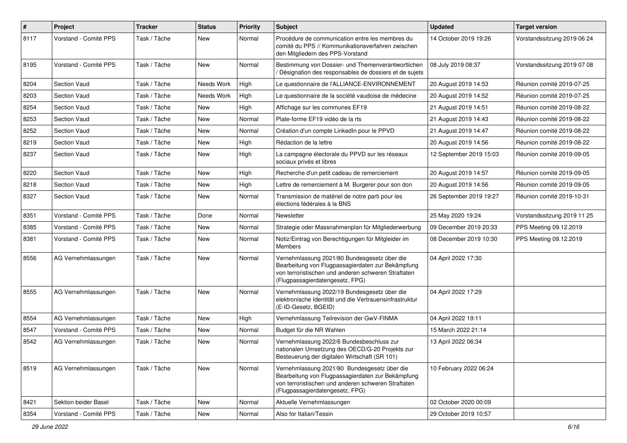| $\sharp$ | Project               | <b>Tracker</b> | <b>Status</b> | <b>Priority</b> | <b>Subject</b>                                                                                                                                                                              | <b>Updated</b>          | <b>Target version</b>       |
|----------|-----------------------|----------------|---------------|-----------------|---------------------------------------------------------------------------------------------------------------------------------------------------------------------------------------------|-------------------------|-----------------------------|
| 8117     | Vorstand - Comité PPS | Task / Tâche   | New           | Normal          | Procédure de communication entre les membres du<br>comité du PPS // Kommunikationsverfahren zwischen<br>den Mitgliedern des PPS-Vorstand                                                    | 14 October 2019 19:26   | Vorstandssitzung 2019 06 24 |
| 8195     | Vorstand - Comité PPS | Task / Tâche   | New           | Normal          | Bestimmung von Dossier- und Themenverantwortlichen<br>Désignation des responsables de dossiers et de sujets                                                                                 | 08 July 2019 08:37      | Vorstandssitzung 2019 07 08 |
| 8204     | Section Vaud          | Task / Tâche   | Needs Work    | High            | Le questionnaire de l'ALLIANCE-ENVIRONNEMENT                                                                                                                                                | 20 August 2019 14:53    | Réunion comité 2019-07-25   |
| 8203     | <b>Section Vaud</b>   | Task / Tâche   | Needs Work    | High            | Le questionnaire de la société vaudoise de médecine                                                                                                                                         | 20 August 2019 14:52    | Réunion comité 2019-07-25   |
| 8254     | Section Vaud          | Task / Tâche   | New           | High            | Affichage sur les communes EF19                                                                                                                                                             | 21 August 2019 14:51    | Réunion comité 2019-08-22   |
| 8253     | <b>Section Vaud</b>   | Task / Tâche   | New           | Normal          | Plate-forme EF19 vidéo de la rts                                                                                                                                                            | 21 August 2019 14:43    | Réunion comité 2019-08-22   |
| 8252     | <b>Section Vaud</b>   | Task / Tâche   | <b>New</b>    | Normal          | Création d'un compte LinkedIn pour le PPVD                                                                                                                                                  | 21 August 2019 14:47    | Réunion comité 2019-08-22   |
| 8219     | Section Vaud          | Task / Tâche   | New           | High            | Rédaction de la lettre                                                                                                                                                                      | 20 August 2019 14:56    | Réunion comité 2019-08-22   |
| 8237     | <b>Section Vaud</b>   | Task / Tâche   | New           | High            | La campagne électorale du PPVD sur les réseaux<br>sociaux privés et libres                                                                                                                  | 12 September 2019 15:03 | Réunion comité 2019-09-05   |
| 8220     | Section Vaud          | Task / Tâche   | New           | High            | Recherche d'un petit cadeau de remerciement                                                                                                                                                 | 20 August 2019 14:57    | Réunion comité 2019-09-05   |
| 8218     | <b>Section Vaud</b>   | Task / Tâche   | New           | High            | Lettre de remerciement à M. Burgerer pour son don                                                                                                                                           | 20 August 2019 14:56    | Réunion comité 2019-09-05   |
| 8327     | Section Vaud          | Task / Tâche   | New           | Normal          | Transmission de matériel de notre parti pour les<br>élections fédérales à la BNS                                                                                                            | 26 September 2019 19:27 | Réunion comité 2019-10-31   |
| 8351     | Vorstand - Comité PPS | Task / Tâche   | Done          | Normal          | Newsletter                                                                                                                                                                                  | 25 May 2020 19:24       | Vorstandssitzung 2019 11 25 |
| 8385     | Vorstand - Comité PPS | Task / Tâche   | New           | Normal          | Strategie oder Massnahmenplan für Mitgliederwerbung                                                                                                                                         | 09 December 2019 20:33  | PPS Meeting 09.12.2019      |
| 8381     | Vorstand - Comité PPS | Task / Tâche   | New           | Normal          | Notiz/Eintrag von Berechtigungen für Mitgleider im<br><b>Members</b>                                                                                                                        | 08 December 2019 10:30  | PPS Meeting 09.12.2019      |
| 8556     | AG Vernehmlassungen   | Task / Tâche   | New           | Normal          | Vernehmlassung 2021/80 Bundesgesetz über die<br>Bearbeitung von Flugpassagierdaten zur Bekämpfung<br>von terroristischen und anderen schweren Straftaten<br>(Flugpassagierdatengesetz, FPG) | 04 April 2022 17:30     |                             |
| 8555     | AG Vernehmlassungen   | Task / Tâche   | New           | Normal          | Vernehmlassung 2022/19 Bundesgesetz über die<br>elektronische Identität und die Vertrauensinfrastruktur<br>(E-ID-Gesetz, BGEID)                                                             | 04 April 2022 17:29     |                             |
| 8554     | AG Vernehmlassungen   | Task / Tâche   | <b>New</b>    | High            | Vernehmlassung Teilrevision der GwV-FINMA                                                                                                                                                   | 04 April 2022 19:11     |                             |
| 8547     | Vorstand - Comité PPS | Task / Tâche   | New           | Normal          | Budget für die NR Wahlen                                                                                                                                                                    | 15 March 2022 21:14     |                             |
| 8542     | AG Vernehmlassungen   | Task / Tâche   | New           | Normal          | Vernehmlassung 2022/6 Bundesbeschluss zur<br>nationalen Umsetzung des OECD/G-20 Projekts zur<br>Besteuerung der digitalen Wirtschaft (SR 101)                                               | 13 April 2022 06:34     |                             |
| 8519     | AG Vernehmlassungen   | Task / Tâche   | New           | Normal          | Vernehmlassung 2021/80 Bundesgesetz über die<br>Bearbeitung von Flugpassagierdaten zur Bekämpfung<br>von terroristischen und anderen schweren Straftaten<br>(Flugpassagierdatengesetz, FPG) | 10 February 2022 06:24  |                             |
| 8421     | Sektion beider Basel  | Task / Tâche   | New           | Normal          | Aktuelle Vernehmlassungen                                                                                                                                                                   | 02 October 2020 00:09   |                             |
| 8354     | Vorstand - Comité PPS | Task / Tâche   | New           | Normal          | Also for Italian/Tessin                                                                                                                                                                     | 29 October 2019 10:57   |                             |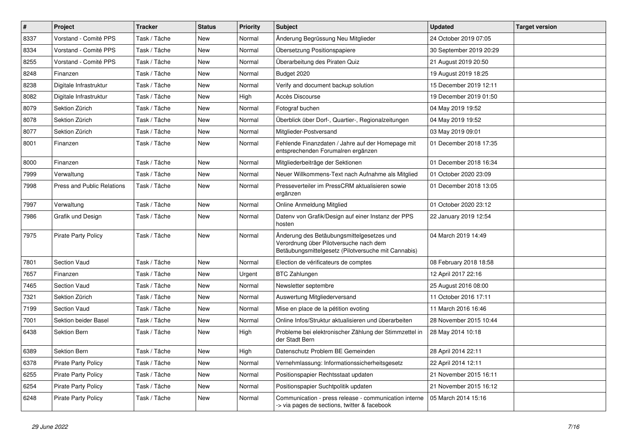| $\pmb{\#}$ | Project                    | <b>Tracker</b> | <b>Status</b> | <b>Priority</b> | Subject                                                                                                                                    | <b>Updated</b>          | <b>Target version</b> |
|------------|----------------------------|----------------|---------------|-----------------|--------------------------------------------------------------------------------------------------------------------------------------------|-------------------------|-----------------------|
| 8337       | Vorstand - Comité PPS      | Task / Tâche   | New           | Normal          | Änderung Begrüssung Neu Mitglieder                                                                                                         | 24 October 2019 07:05   |                       |
| 8334       | Vorstand - Comité PPS      | Task / Tâche   | New           | Normal          | Übersetzung Positionspapiere                                                                                                               | 30 September 2019 20:29 |                       |
| 8255       | Vorstand - Comité PPS      | Task / Tâche   | New           | Normal          | Überarbeitung des Piraten Quiz                                                                                                             | 21 August 2019 20:50    |                       |
| 8248       | Finanzen                   | Task / Tâche   | New           | Normal          | Budget 2020                                                                                                                                | 19 August 2019 18:25    |                       |
| 8238       | Digitale Infrastruktur     | Task / Tâche   | <b>New</b>    | Normal          | Verify and document backup solution                                                                                                        | 15 December 2019 12:11  |                       |
| 8082       | Digitale Infrastruktur     | Task / Tâche   | New           | High            | Accès Discourse                                                                                                                            | 19 December 2019 01:50  |                       |
| 8079       | Sektion Zürich             | Task / Tâche   | New           | Normal          | Fotograf buchen                                                                                                                            | 04 May 2019 19:52       |                       |
| 8078       | Sektion Zürich             | Task / Tâche   | New           | Normal          | Überblick über Dorf-, Quartier-, Regionalzeitungen                                                                                         | 04 May 2019 19:52       |                       |
| 8077       | Sektion Zürich             | Task / Tâche   | New           | Normal          | Mitglieder-Postversand                                                                                                                     | 03 May 2019 09:01       |                       |
| 8001       | Finanzen                   | Task / Tâche   | New           | Normal          | Fehlende Finanzdaten / Jahre auf der Homepage mit<br>entsprechenden Forumalren ergänzen                                                    | 01 December 2018 17:35  |                       |
| 8000       | Finanzen                   | Task / Tâche   | New           | Normal          | Mitgliederbeiträge der Sektionen                                                                                                           | 01 December 2018 16:34  |                       |
| 7999       | Verwaltung                 | Task / Tâche   | <b>New</b>    | Normal          | Neuer Willkommens-Text nach Aufnahme als Mitglied                                                                                          | 01 October 2020 23:09   |                       |
| 7998       | Press and Public Relations | Task / Tâche   | New           | Normal          | Presseverteiler im PressCRM aktualisieren sowie<br>ergänzen                                                                                | 01 December 2018 13:05  |                       |
| 7997       | Verwaltung                 | Task / Tâche   | New           | Normal          | Online Anmeldung Mitglied                                                                                                                  | 01 October 2020 23:12   |                       |
| 7986       | Grafik und Design          | Task / Tâche   | New           | Normal          | Datenv von Grafik/Design auf einer Instanz der PPS<br>hosten                                                                               | 22 January 2019 12:54   |                       |
| 7975       | <b>Pirate Party Policy</b> | Task / Tâche   | <b>New</b>    | Normal          | Änderung des Betäubungsmittelgesetzes und<br>Verordnung über Pilotversuche nach dem<br>Betäubungsmittelgesetz (Pilotversuche mit Cannabis) | 04 March 2019 14:49     |                       |
| 7801       | <b>Section Vaud</b>        | Task / Tâche   | <b>New</b>    | Normal          | Election de vérificateurs de comptes                                                                                                       | 08 February 2018 18:58  |                       |
| 7657       | Finanzen                   | Task / Tâche   | New           | Urgent          | <b>BTC Zahlungen</b>                                                                                                                       | 12 April 2017 22:16     |                       |
| 7465       | Section Vaud               | Task / Tâche   | <b>New</b>    | Normal          | Newsletter septembre                                                                                                                       | 25 August 2016 08:00    |                       |
| 7321       | Sektion Zürich             | Task / Tâche   | <b>New</b>    | Normal          | Auswertung Mitgliederversand                                                                                                               | 11 October 2016 17:11   |                       |
| 7199       | Section Vaud               | Task / Tâche   | <b>New</b>    | Normal          | Mise en place de la pétition evoting                                                                                                       | 11 March 2016 16:46     |                       |
| 7001       | Sektion beider Basel       | Task / Tâche   | New           | Normal          | Online Infos/Struktur aktualisieren und überarbeiten                                                                                       | 28 November 2015 10:44  |                       |
| 6438       | <b>Sektion Bern</b>        | Task / Tâche   | New           | High            | Probleme bei elektronischer Zählung der Stimmzettel in<br>der Stadt Bern                                                                   | 28 May 2014 10:18       |                       |
| 6389       | Sektion Bern               | Task / Tâche   | New           | High            | Datenschutz Problem BE Gemeinden                                                                                                           | 28 April 2014 22:11     |                       |
| 6378       | <b>Pirate Party Policy</b> | Task / Tâche   | New           | Normal          | Vernehmlassung: Informationssicherheitsgesetz                                                                                              | 22 April 2014 12:11     |                       |
| 6255       | <b>Pirate Party Policy</b> | Task / Tâche   | New           | Normal          | Positionspapier Rechtsstaat updaten                                                                                                        | 21 November 2015 16:11  |                       |
| 6254       | Pirate Party Policy        | Task / Tâche   | New           | Normal          | Positionspapier Suchtpolitik updaten                                                                                                       | 21 November 2015 16:12  |                       |
| 6248       | <b>Pirate Party Policy</b> | Task / Tâche   | New           | Normal          | Communication - press release - communication interne<br>-> via pages de sections, twitter & facebook                                      | 05 March 2014 15:16     |                       |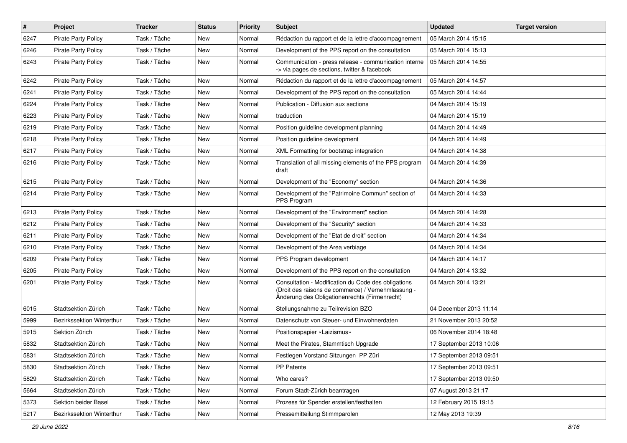| $\pmb{\#}$ | <b>Project</b>             | <b>Tracker</b> | <b>Status</b> | <b>Priority</b> | <b>Subject</b>                                                                                                                                             | <b>Updated</b>          | <b>Target version</b> |
|------------|----------------------------|----------------|---------------|-----------------|------------------------------------------------------------------------------------------------------------------------------------------------------------|-------------------------|-----------------------|
| 6247       | <b>Pirate Party Policy</b> | Task / Tâche   | New           | Normal          | Rédaction du rapport et de la lettre d'accompagnement                                                                                                      | 05 March 2014 15:15     |                       |
| 6246       | <b>Pirate Party Policy</b> | Task / Tâche   | <b>New</b>    | Normal          | Development of the PPS report on the consultation                                                                                                          | 05 March 2014 15:13     |                       |
| 6243       | <b>Pirate Party Policy</b> | Task / Tâche   | New           | Normal          | Communication - press release - communication interne<br>-> via pages de sections, twitter & facebook                                                      | 05 March 2014 14:55     |                       |
| 6242       | <b>Pirate Party Policy</b> | Task / Tâche   | <b>New</b>    | Normal          | Rédaction du rapport et de la lettre d'accompagnement                                                                                                      | 05 March 2014 14:57     |                       |
| 6241       | <b>Pirate Party Policy</b> | Task / Tâche   | New           | Normal          | Development of the PPS report on the consultation                                                                                                          | 05 March 2014 14:44     |                       |
| 6224       | <b>Pirate Party Policy</b> | Task / Tâche   | New           | Normal          | Publication - Diffusion aux sections                                                                                                                       | 04 March 2014 15:19     |                       |
| 6223       | Pirate Party Policy        | Task / Tâche   | New           | Normal          | traduction                                                                                                                                                 | 04 March 2014 15:19     |                       |
| 6219       | Pirate Party Policy        | Task / Tâche   | New           | Normal          | Position guideline development planning                                                                                                                    | 04 March 2014 14:49     |                       |
| 6218       | <b>Pirate Party Policy</b> | Task / Tâche   | <b>New</b>    | Normal          | Position guideline development                                                                                                                             | 04 March 2014 14:49     |                       |
| 6217       | <b>Pirate Party Policy</b> | Task / Tâche   | New           | Normal          | XML Formatting for bootstrap integration                                                                                                                   | 04 March 2014 14:38     |                       |
| 6216       | <b>Pirate Party Policy</b> | Task / Tâche   | New           | Normal          | Translation of all missing elements of the PPS program<br>draft                                                                                            | 04 March 2014 14:39     |                       |
| 6215       | <b>Pirate Party Policy</b> | Task / Tâche   | New           | Normal          | Development of the "Economy" section                                                                                                                       | 04 March 2014 14:36     |                       |
| 6214       | Pirate Party Policy        | Task / Tâche   | New           | Normal          | Development of the "Patrimoine Commun" section of<br>PPS Program                                                                                           | 04 March 2014 14:33     |                       |
| 6213       | Pirate Party Policy        | Task / Tâche   | New           | Normal          | Development of the "Environment" section                                                                                                                   | 04 March 2014 14:28     |                       |
| 6212       | <b>Pirate Party Policy</b> | Task / Tâche   | <b>New</b>    | Normal          | Development of the "Security" section                                                                                                                      | 04 March 2014 14:33     |                       |
| 6211       | <b>Pirate Party Policy</b> | Task / Tâche   | New           | Normal          | Development of the "Etat de droit" section                                                                                                                 | 04 March 2014 14:34     |                       |
| 6210       | <b>Pirate Party Policy</b> | Task / Tâche   | New           | Normal          | Development of the Area verbiage                                                                                                                           | 04 March 2014 14:34     |                       |
| 6209       | <b>Pirate Party Policy</b> | Task / Tâche   | New           | Normal          | PPS Program development                                                                                                                                    | 04 March 2014 14:17     |                       |
| 6205       | <b>Pirate Party Policy</b> | Task / Tâche   | New           | Normal          | Development of the PPS report on the consultation                                                                                                          | 04 March 2014 13:32     |                       |
| 6201       | <b>Pirate Party Policy</b> | Task / Tâche   | New           | Normal          | Consultation - Modification du Code des obligations<br>(Droit des raisons de commerce) / Vernehmlassung -<br>Änderung des Obligationenrechts (Firmenrecht) | 04 March 2014 13:21     |                       |
| 6015       | Stadtsektion Zürich        | Task / Tâche   | <b>New</b>    | Normal          | Stellungsnahme zu Teilrevision BZO                                                                                                                         | 04 December 2013 11:14  |                       |
| 5999       | Bezirkssektion Winterthur  | Task / Tâche   | New           | Normal          | Datenschutz von Steuer- und Einwohnerdaten                                                                                                                 | 21 November 2013 20:52  |                       |
| 5915       | Sektion Zürich             | Task / Tâche   | New           | Normal          | Positionspapier «Laizismus»                                                                                                                                | 06 November 2014 18:48  |                       |
| 5832       | Stadtsektion Zürich        | Task / Tâche   | <b>New</b>    | Normal          | Meet the Pirates, Stammtisch Upgrade                                                                                                                       | 17 September 2013 10:06 |                       |
| 5831       | Stadtsektion Zürich        | Task / Tâche   | New           | Normal          | Festlegen Vorstand Sitzungen PP Züri                                                                                                                       | 17 September 2013 09:51 |                       |
| 5830       | Stadtsektion Zürich        | Task / Tâche   | New           | Normal          | PP Patente                                                                                                                                                 | 17 September 2013 09:51 |                       |
| 5829       | Stadtsektion Zürich        | Task / Tâche   | New           | Normal          | Who cares?                                                                                                                                                 | 17 September 2013 09:50 |                       |
| 5664       | Stadtsektion Zürich        | Task / Tâche   | New           | Normal          | Forum Stadt-Zürich beantragen                                                                                                                              | 07 August 2013 21:17    |                       |
| 5373       | Sektion beider Basel       | Task / Tâche   | New           | Normal          | Prozess für Spender erstellen/festhalten                                                                                                                   | 12 February 2015 19:15  |                       |
| 5217       | Bezirkssektion Winterthur  | Task / Tâche   | New           | Normal          | Pressemitteilung Stimmparolen                                                                                                                              | 12 May 2013 19:39       |                       |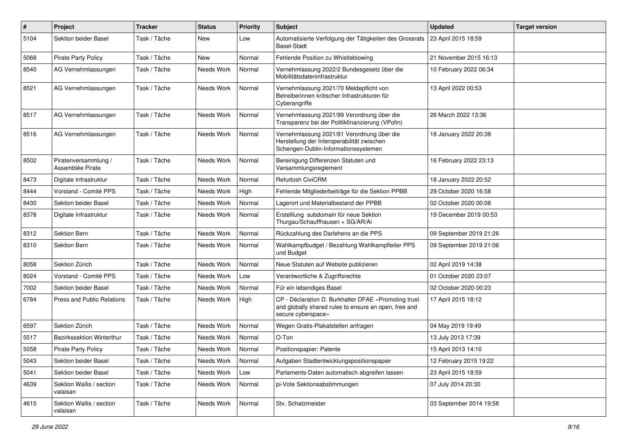| $\#$ | Project                                  | <b>Tracker</b> | <b>Status</b> | <b>Priority</b> | <b>Subject</b>                                                                                                                      | <b>Updated</b>          | <b>Target version</b> |
|------|------------------------------------------|----------------|---------------|-----------------|-------------------------------------------------------------------------------------------------------------------------------------|-------------------------|-----------------------|
| 5104 | Sektion beider Basel                     | Task / Tâche   | New           | Low             | Automatisierte Verfolgung der Tätigkeiten des Grossrats<br><b>Basel-Stadt</b>                                                       | 23 April 2015 18:59     |                       |
| 5068 | <b>Pirate Party Policy</b>               | Task / Tâche   | New           | Normal          | Fehlende Position zu Whistleblowing                                                                                                 | 21 November 2015 16:13  |                       |
| 8540 | AG Vernehmlassungen                      | Task / Tâche   | Needs Work    | Normal          | Vernehmlassung 2022/2 Bundesgesetz über die<br>Mobilitätsdateninfrastruktur                                                         | 10 February 2022 06:34  |                       |
| 8521 | AG Vernehmlassungen                      | Task / Tâche   | Needs Work    | Normal          | Vernehmlassung 2021/70 Meldepflicht von<br>Betreiberinnen kritischer Infrastrukturen für<br>Cyberangriffe                           | 13 April 2022 00:53     |                       |
| 8517 | AG Vernehmlassungen                      | Task / Tâche   | Needs Work    | Normal          | Vernehmlassung 2021/99 Verordnung über die<br>Transparenz bei der Politikfinanzierung (VPofin)                                      | 26 March 2022 13:36     |                       |
| 8516 | AG Vernehmlassungen                      | Task / Tâche   | Needs Work    | Normal          | Vernehmlassung 2021/81 Verordnung über die<br>Herstellung der Interoperabilität zwischen<br>Schengen-Dublin-Informationssystemen    | 18 January 2022 20:38   |                       |
| 8502 | Piratenversammlung /<br>Assemblée Pirate | Task / Tâche   | Needs Work    | Normal          | Bereinigung Differenzen Statuten und<br>Versammlungsreglement                                                                       | 16 February 2022 23:13  |                       |
| 8473 | Digitale Infrastruktur                   | Task / Tâche   | Needs Work    | Normal          | Refurbish CiviCRM                                                                                                                   | 18 January 2022 20:52   |                       |
| 8444 | Vorstand - Comité PPS                    | Task / Tâche   | Needs Work    | High            | Fehlende Mitgliederbeiträge für die Sektion PPBB                                                                                    | 29 October 2020 16:58   |                       |
| 8430 | Sektion beider Basel                     | Task / Tâche   | Needs Work    | Normal          | Lagerort und Materialbestand der PPBB                                                                                               | 02 October 2020 00:08   |                       |
| 8378 | Digitale Infrastruktur                   | Task / Tâche   | Needs Work    | Normal          | Erstelllung subdomain für neue Sektion<br>Thurgau/Schauffhausen + SG/AR/Ai                                                          | 19 December 2019 00:53  |                       |
| 8312 | Sektion Bern                             | Task / Tâche   | Needs Work    | Normal          | Rückzahlung des Darlehens an die PPS                                                                                                | 09 September 2019 21:26 |                       |
| 8310 | Sektion Bern                             | Task / Tâche   | Needs Work    | Normal          | Wahlkampfbudget / Bezahlung Wahlkampfleiter PPS<br>und Budget                                                                       | 09 September 2019 21:06 |                       |
| 8058 | Sektion Zürich                           | Task / Tâche   | Needs Work    | Normal          | Neue Statuten auf Website publizieren                                                                                               | 02 April 2019 14:38     |                       |
| 8024 | Vorstand - Comité PPS                    | Task / Tâche   | Needs Work    | Low             | Verantwortliche & Zugriffsrechte                                                                                                    | 01 October 2020 23:07   |                       |
| 7002 | Sektion beider Basel                     | Task / Tâche   | Needs Work    | Normal          | Für ein lebendiges Basel                                                                                                            | 02 October 2020 00:23   |                       |
| 6784 | Press and Public Relations               | Task / Tâche   | Needs Work    | High            | CP - Déclaration D. Burkhalter DFAE «Promoting trust<br>and globally shared rules to ensure an open, free and<br>secure cyberspace» | 17 April 2015 18:12     |                       |
| 6597 | Sektion Zürich                           | Task / Tâche   | Needs Work    | Normal          | Wegen Gratis-Plakatstellen anfragen                                                                                                 | 04 May 2019 19:49       |                       |
| 5517 | Bezirkssektion Winterthur                | Task / Tâche   | Needs Work    | Normal          | O-Ton                                                                                                                               | 13 July 2013 17:39      |                       |
| 5058 | <b>Pirate Party Policy</b>               | Task / Tâche   | Needs Work    | Normal          | Positionspapier: Patente                                                                                                            | 15 April 2013 14:10     |                       |
| 5043 | Sektion beider Basel                     | Task / Tâche   | Needs Work    | Normal          | Aufgaben Stadtentwicklungspositionspapier                                                                                           | 12 February 2015 19:22  |                       |
| 5041 | Sektion beider Basel                     | Task / Tâche   | Needs Work    | Low             | Parlaments-Daten automatisch abgreifen lassen                                                                                       | 23 April 2015 18:59     |                       |
| 4639 | Sektion Wallis / section<br>valaisan     | Task / Tâche   | Needs Work    | Normal          | pi-Vote Sektionsabstimmungen                                                                                                        | 07 July 2014 20:30      |                       |
| 4615 | Sektion Wallis / section<br>valaisan     | Task / Tâche   | Needs Work    | Normal          | Stv. Schatzmeister                                                                                                                  | 03 September 2014 19:58 |                       |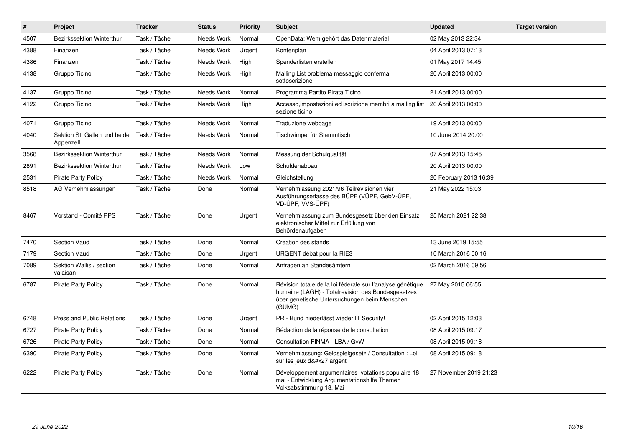| $\sharp$ | Project                                   | <b>Tracker</b> | <b>Status</b>     | <b>Priority</b> | <b>Subject</b>                                                                                                                                                            | <b>Updated</b>         | <b>Target version</b> |
|----------|-------------------------------------------|----------------|-------------------|-----------------|---------------------------------------------------------------------------------------------------------------------------------------------------------------------------|------------------------|-----------------------|
| 4507     | <b>Bezirkssektion Winterthur</b>          | Task / Tâche   | Needs Work        | Normal          | OpenData: Wem gehört das Datenmaterial                                                                                                                                    | 02 May 2013 22:34      |                       |
| 4388     | Finanzen                                  | Task / Tâche   | Needs Work        | Urgent          | Kontenplan                                                                                                                                                                | 04 April 2013 07:13    |                       |
| 4386     | Finanzen                                  | Task / Tâche   | Needs Work        | High            | Spenderlisten erstellen                                                                                                                                                   | 01 May 2017 14:45      |                       |
| 4138     | Gruppo Ticino                             | Task / Tâche   | Needs Work        | High            | Mailing List problema messaggio conferma<br>sottoscrizione                                                                                                                | 20 April 2013 00:00    |                       |
| 4137     | Gruppo Ticino                             | Task / Tâche   | Needs Work        | Normal          | Programma Partito Pirata Ticino                                                                                                                                           | 21 April 2013 00:00    |                       |
| 4122     | Gruppo Ticino                             | Task / Tâche   | <b>Needs Work</b> | High            | Accesso, impostazioni ed iscrizione membri a mailing list   20 April 2013 00:00<br>sezione ticino                                                                         |                        |                       |
| 4071     | Gruppo Ticino                             | Task / Tâche   | Needs Work        | Normal          | Traduzione webpage                                                                                                                                                        | 19 April 2013 00:00    |                       |
| 4040     | Sektion St. Gallen und beide<br>Appenzell | Task / Tâche   | Needs Work        | Normal          | Tischwimpel für Stammtisch                                                                                                                                                | 10 June 2014 20:00     |                       |
| 3568     | Bezirkssektion Winterthur                 | Task / Tâche   | Needs Work        | Normal          | Messung der Schulqualität                                                                                                                                                 | 07 April 2013 15:45    |                       |
| 2891     | <b>Bezirkssektion Winterthur</b>          | Task / Tâche   | Needs Work        | Low             | Schuldenabbau                                                                                                                                                             | 20 April 2013 00:00    |                       |
| 2531     | <b>Pirate Party Policy</b>                | Task / Tâche   | Needs Work        | Normal          | Gleichstellung                                                                                                                                                            | 20 February 2013 16:39 |                       |
| 8518     | AG Vernehmlassungen                       | Task / Tâche   | Done              | Normal          | Vernehmlassung 2021/96 Teilrevisionen vier<br>Ausführungserlasse des BÜPF (VÜPF, GebV-ÜPF,<br>VD-ÜPF, VVS-ÜPF)                                                            | 21 May 2022 15:03      |                       |
| 8467     | Vorstand - Comité PPS                     | Task / Tâche   | Done              | Urgent          | Vernehmlassung zum Bundesgesetz über den Einsatz<br>elektronischer Mittel zur Erfüllung von<br>Behördenaufgaben                                                           | 25 March 2021 22:38    |                       |
| 7470     | <b>Section Vaud</b>                       | Task / Tâche   | Done              | Normal          | Creation des stands                                                                                                                                                       | 13 June 2019 15:55     |                       |
| 7179     | Section Vaud                              | Task / Tâche   | Done              | Urgent          | URGENT débat pour la RIE3                                                                                                                                                 | 10 March 2016 00:16    |                       |
| 7089     | Sektion Wallis / section<br>valaisan      | Task / Tâche   | Done              | Normal          | Anfragen an Standesämtern                                                                                                                                                 | 02 March 2016 09:56    |                       |
| 6787     | <b>Pirate Party Policy</b>                | Task / Tâche   | Done              | Normal          | Révision totale de la loi fédérale sur l'analyse génétique<br>humaine (LAGH) - Totalrevision des Bundesgesetzes<br>über genetische Untersuchungen beim Menschen<br>(GUMG) | 27 May 2015 06:55      |                       |
| 6748     | <b>Press and Public Relations</b>         | Task / Tâche   | Done              | Urgent          | PR - Bund niederlässt wieder IT Security!                                                                                                                                 | 02 April 2015 12:03    |                       |
| 6727     | <b>Pirate Party Policy</b>                | Task / Tâche   | Done              | Normal          | Rédaction de la réponse de la consultation                                                                                                                                | 08 April 2015 09:17    |                       |
| 6726     | <b>Pirate Party Policy</b>                | Task / Tâche   | Done              | Normal          | Consultation FINMA - LBA / GvW                                                                                                                                            | 08 April 2015 09:18    |                       |
| 6390     | <b>Pirate Party Policy</b>                | Task / Tâche   | Done              | Normal          | Vernehmlassung: Geldspielgesetz / Consultation : Loi<br>sur les jeux d'argent                                                                                             | 08 April 2015 09:18    |                       |
| 6222     | <b>Pirate Party Policy</b>                | Task / Tâche   | Done              | Normal          | Développement argumentaires votations populaire 18<br>mai - Entwicklung Argumentationshilfe Themen<br>Volksabstimmung 18. Mai                                             | 27 November 2019 21:23 |                       |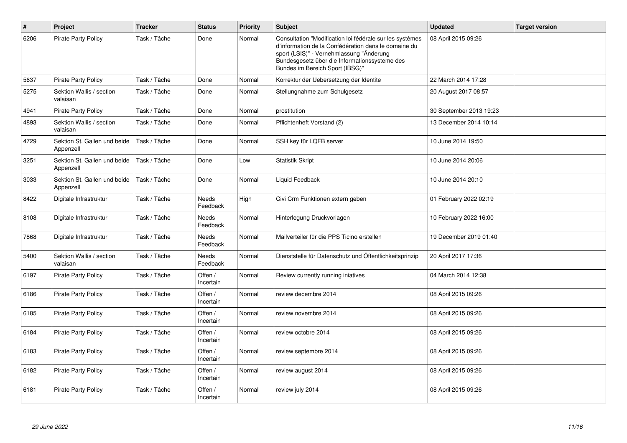| $\#$ | Project                                   | <b>Tracker</b> | <b>Status</b>            | <b>Priority</b> | <b>Subject</b>                                                                                                                                                                                                                                   | <b>Updated</b>          | <b>Target version</b> |
|------|-------------------------------------------|----------------|--------------------------|-----------------|--------------------------------------------------------------------------------------------------------------------------------------------------------------------------------------------------------------------------------------------------|-------------------------|-----------------------|
| 6206 | <b>Pirate Party Policy</b>                | Task / Tâche   | Done                     | Normal          | Consultation "Modification loi fédérale sur les systèmes<br>d'information de la Confédération dans le domaine du<br>sport (LSIS)" - Vernehmlassung "Änderung<br>Bundesgesetz über die Informationssysteme des<br>Bundes im Bereich Sport (IBSG)" | 08 April 2015 09:26     |                       |
| 5637 | <b>Pirate Party Policy</b>                | Task / Tâche   | Done                     | Normal          | Korrektur der Uebersetzung der Identite                                                                                                                                                                                                          | 22 March 2014 17:28     |                       |
| 5275 | Sektion Wallis / section<br>valaisan      | Task / Tâche   | Done                     | Normal          | Stellungnahme zum Schulgesetz                                                                                                                                                                                                                    | 20 August 2017 08:57    |                       |
| 4941 | <b>Pirate Party Policy</b>                | Task / Tâche   | Done                     | Normal          | prostitution                                                                                                                                                                                                                                     | 30 September 2013 19:23 |                       |
| 4893 | Sektion Wallis / section<br>valaisan      | Task / Tâche   | Done                     | Normal          | Pflichtenheft Vorstand (2)                                                                                                                                                                                                                       | 13 December 2014 10:14  |                       |
| 4729 | Sektion St. Gallen und beide<br>Appenzell | Task / Tâche   | Done                     | Normal          | SSH key für LQFB server                                                                                                                                                                                                                          | 10 June 2014 19:50      |                       |
| 3251 | Sektion St. Gallen und beide<br>Appenzell | Task / Tâche   | Done                     | Low             | <b>Statistik Skript</b>                                                                                                                                                                                                                          | 10 June 2014 20:06      |                       |
| 3033 | Sektion St. Gallen und beide<br>Appenzell | Task / Tâche   | Done                     | Normal          | Liquid Feedback                                                                                                                                                                                                                                  | 10 June 2014 20:10      |                       |
| 8422 | Digitale Infrastruktur                    | Task / Tâche   | <b>Needs</b><br>Feedback | High            | Civi Crm Funktionen extern geben                                                                                                                                                                                                                 | 01 February 2022 02:19  |                       |
| 8108 | Digitale Infrastruktur                    | Task / Tâche   | <b>Needs</b><br>Feedback | Normal          | Hinterlegung Druckvorlagen                                                                                                                                                                                                                       | 10 February 2022 16:00  |                       |
| 7868 | Digitale Infrastruktur                    | Task / Tâche   | Needs<br>Feedback        | Normal          | Mailverteiler für die PPS Ticino erstellen                                                                                                                                                                                                       | 19 December 2019 01:40  |                       |
| 5400 | Sektion Wallis / section<br>valaisan      | Task / Tâche   | <b>Needs</b><br>Feedback | Normal          | Dienststelle für Datenschutz und Öffentlichkeitsprinzip                                                                                                                                                                                          | 20 April 2017 17:36     |                       |
| 6197 | <b>Pirate Party Policy</b>                | Task / Tâche   | Offen /<br>Incertain     | Normal          | Review currently running iniatives                                                                                                                                                                                                               | 04 March 2014 12:38     |                       |
| 6186 | <b>Pirate Party Policy</b>                | Task / Tâche   | Offen /<br>Incertain     | Normal          | review decembre 2014                                                                                                                                                                                                                             | 08 April 2015 09:26     |                       |
| 6185 | <b>Pirate Party Policy</b>                | Task / Tâche   | Offen /<br>Incertain     | Normal          | review novembre 2014                                                                                                                                                                                                                             | 08 April 2015 09:26     |                       |
| 6184 | <b>Pirate Party Policy</b>                | Task / Tâche   | Offen /<br>Incertain     | Normal          | review octobre 2014                                                                                                                                                                                                                              | 08 April 2015 09:26     |                       |
| 6183 | <b>Pirate Party Policy</b>                | Task / Tâche   | Offen /<br>Incertain     | Normal          | review septembre 2014                                                                                                                                                                                                                            | 08 April 2015 09:26     |                       |
| 6182 | <b>Pirate Party Policy</b>                | Task / Tâche   | Offen /<br>Incertain     | Normal          | review august 2014                                                                                                                                                                                                                               | 08 April 2015 09:26     |                       |
| 6181 | <b>Pirate Party Policy</b>                | Task / Tâche   | Offen /<br>Incertain     | Normal          | review july 2014                                                                                                                                                                                                                                 | 08 April 2015 09:26     |                       |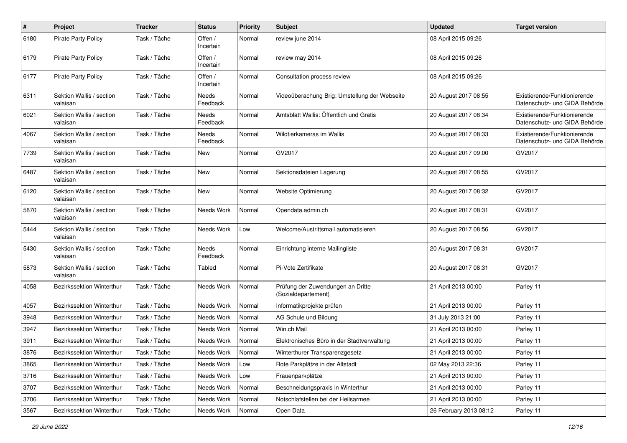| #    | <b>Project</b>                       | <b>Tracker</b> | <b>Status</b>        | <b>Priority</b> | <b>Subject</b>                                           | <b>Updated</b>         | <b>Target version</b>                                         |
|------|--------------------------------------|----------------|----------------------|-----------------|----------------------------------------------------------|------------------------|---------------------------------------------------------------|
| 6180 | <b>Pirate Party Policy</b>           | Task / Tâche   | Offen /<br>Incertain | Normal          | review june 2014                                         | 08 April 2015 09:26    |                                                               |
| 6179 | Pirate Party Policy                  | Task / Tâche   | Offen /<br>Incertain | Normal          | review may 2014                                          | 08 April 2015 09:26    |                                                               |
| 6177 | <b>Pirate Party Policy</b>           | Task / Tâche   | Offen /<br>Incertain | Normal          | Consultation process review                              | 08 April 2015 09:26    |                                                               |
| 6311 | Sektion Wallis / section<br>valaisan | Task / Tâche   | Needs<br>Feedback    | Normal          | Videoüberachung Brig: Umstellung der Webseite            | 20 August 2017 08:55   | Existierende/Funktionierende<br>Datenschutz- und GIDA Behörde |
| 6021 | Sektion Wallis / section<br>valaisan | Task / Tâche   | Needs<br>Feedback    | Normal          | Amtsblatt Wallis: Öffentlich und Gratis                  | 20 August 2017 08:34   | Existierende/Funktionierende<br>Datenschutz- und GIDA Behörde |
| 4067 | Sektion Wallis / section<br>valaisan | Task / Tâche   | Needs<br>Feedback    | Normal          | Wildtierkameras im Wallis                                | 20 August 2017 08:33   | Existierende/Funktionierende<br>Datenschutz- und GIDA Behörde |
| 7739 | Sektion Wallis / section<br>valaisan | Task / Tâche   | <b>New</b>           | Normal          | GV2017                                                   | 20 August 2017 09:00   | GV2017                                                        |
| 6487 | Sektion Wallis / section<br>valaisan | Task / Tâche   | New                  | Normal          | Sektionsdateien Lagerung                                 | 20 August 2017 08:55   | GV2017                                                        |
| 6120 | Sektion Wallis / section<br>valaisan | Task / Tâche   | <b>New</b>           | Normal          | Website Optimierung                                      | 20 August 2017 08:32   | GV2017                                                        |
| 5870 | Sektion Wallis / section<br>valaisan | Task / Tâche   | <b>Needs Work</b>    | Normal          | Opendata.admin.ch                                        | 20 August 2017 08:31   | GV2017                                                        |
| 5444 | Sektion Wallis / section<br>valaisan | Task / Tâche   | Needs Work           | Low             | Welcome/Austrittsmail automatisieren                     | 20 August 2017 08:56   | GV2017                                                        |
| 5430 | Sektion Wallis / section<br>valaisan | Task / Tâche   | Needs<br>Feedback    | Normal          | Einrichtung interne Mailingliste                         | 20 August 2017 08:31   | GV2017                                                        |
| 5873 | Sektion Wallis / section<br>valaisan | Task / Tâche   | Tabled               | Normal          | Pi-Vote Zertifikate                                      | 20 August 2017 08:31   | GV2017                                                        |
| 4058 | Bezirkssektion Winterthur            | Task / Tâche   | Needs Work           | Normal          | Prüfung der Zuwendungen an Dritte<br>(Sozialdepartement) | 21 April 2013 00:00    | Parley 11                                                     |
| 4057 | Bezirkssektion Winterthur            | Task / Tâche   | Needs Work           | Normal          | Informatikprojekte prüfen                                | 21 April 2013 00:00    | Parley 11                                                     |
| 3948 | Bezirkssektion Winterthur            | Task / Tâche   | Needs Work           | Normal          | AG Schule und Bildung                                    | 31 July 2013 21:00     | Parley 11                                                     |
| 3947 | Bezirkssektion Winterthur            | Task / Tâche   | Needs Work           | Normal          | Win.ch Mail                                              | 21 April 2013 00:00    | Parley 11                                                     |
| 3911 | Bezirkssektion Winterthur            | Task / Tâche   | Needs Work           | Normal          | Elektronisches Büro in der Stadtverwaltung               | 21 April 2013 00:00    | Parley 11                                                     |
| 3876 | Bezirkssektion Winterthur            | Task / Tâche   | Needs Work           | Normal          | Winterthurer Transparenzgesetz                           | 21 April 2013 00:00    | Parley 11                                                     |
| 3865 | Bezirkssektion Winterthur            | Task / Tâche   | Needs Work           | Low             | Rote Parkplätze in der Altstadt                          | 02 May 2013 22:36      | Parley 11                                                     |
| 3716 | Bezirkssektion Winterthur            | Task / Tâche   | Needs Work           | Low             | Frauenparkplätze                                         | 21 April 2013 00:00    | Parley 11                                                     |
| 3707 | Bezirkssektion Winterthur            | Task / Tâche   | Needs Work           | Normal          | Beschneidungspraxis in Winterthur                        | 21 April 2013 00:00    | Parley 11                                                     |
| 3706 | Bezirkssektion Winterthur            | Task / Tâche   | Needs Work           | Normal          | Notschlafstellen bei der Heilsarmee                      | 21 April 2013 00:00    | Parley 11                                                     |
| 3567 | Bezirkssektion Winterthur            | Task / Tâche   | Needs Work           | Normal          | Open Data                                                | 26 February 2013 08:12 | Parley 11                                                     |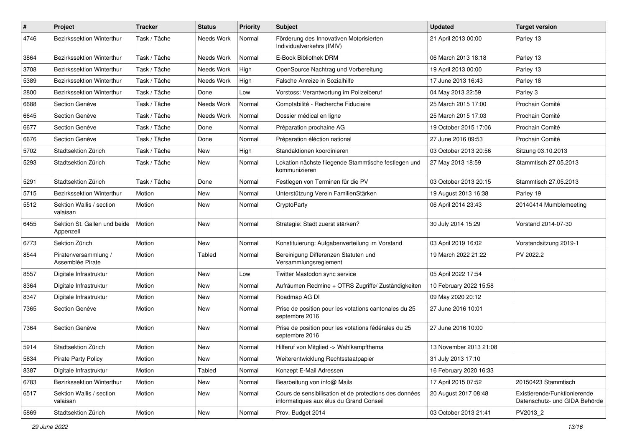| $\sharp$ | Project                                   | <b>Tracker</b> | <b>Status</b> | <b>Priority</b> | Subject                                                                                           | <b>Updated</b>         | <b>Target version</b>                                         |
|----------|-------------------------------------------|----------------|---------------|-----------------|---------------------------------------------------------------------------------------------------|------------------------|---------------------------------------------------------------|
| 4746     | Bezirkssektion Winterthur                 | Task / Tâche   | Needs Work    | Normal          | Förderung des Innovativen Motorisierten<br>Individualverkehrs (IMIV)                              | 21 April 2013 00:00    | Parley 13                                                     |
| 3864     | Bezirkssektion Winterthur                 | Task / Tâche   | Needs Work    | Normal          | E-Book Bibliothek DRM                                                                             | 06 March 2013 18:18    | Parley 13                                                     |
| 3708     | <b>Bezirkssektion Winterthur</b>          | Task / Tâche   | Needs Work    | High            | OpenSource Nachtrag und Vorbereitung                                                              | 19 April 2013 00:00    | Parley 13                                                     |
| 5389     | Bezirkssektion Winterthur                 | Task / Tâche   | Needs Work    | High            | Falsche Anreize in Sozialhilfe                                                                    | 17 June 2013 16:43     | Parley 18                                                     |
| 2800     | Bezirkssektion Winterthur                 | Task / Tâche   | Done          | Low             | Vorstoss: Verantwortung im Polizeiberuf                                                           | 04 May 2013 22:59      | Parley 3                                                      |
| 6688     | Section Genève                            | Task / Tâche   | Needs Work    | Normal          | Comptabilité - Recherche Fiduciaire                                                               | 25 March 2015 17:00    | Prochain Comité                                               |
| 6645     | Section Genève                            | Task / Tâche   | Needs Work    | Normal          | Dossier médical en ligne                                                                          | 25 March 2015 17:03    | Prochain Comité                                               |
| 6677     | Section Genève                            | Task / Tâche   | Done          | Normal          | Préparation prochaine AG                                                                          | 19 October 2015 17:06  | Prochain Comité                                               |
| 6676     | Section Genève                            | Task / Tâche   | Done          | Normal          | Préparation éléction national                                                                     | 27 June 2016 09:53     | Prochain Comité                                               |
| 5702     | Stadtsektion Zürich                       | Task / Tâche   | New           | High            | Standaktionen koordinieren                                                                        | 03 October 2013 20:56  | Sitzung 03.10.2013                                            |
| 5293     | Stadtsektion Zürich                       | Task / Tâche   | <b>New</b>    | Normal          | Lokation nächste fliegende Stammtische festlegen und<br>kommunizieren                             | 27 May 2013 18:59      | Stammtisch 27.05.2013                                         |
| 5291     | Stadtsektion Zürich                       | Task / Tâche   | Done          | Normal          | Festlegen von Terminen für die PV                                                                 | 03 October 2013 20:15  | Stammtisch 27.05.2013                                         |
| 5715     | <b>Bezirkssektion Winterthur</b>          | Motion         | <b>New</b>    | Normal          | Unterstützung Verein FamilienStärken                                                              | 19 August 2013 16:38   | Parley 19                                                     |
| 5512     | Sektion Wallis / section<br>valaisan      | Motion         | New           | Normal          | CryptoParty                                                                                       | 06 April 2014 23:43    | 20140414 Mumblemeeting                                        |
| 6455     | Sektion St. Gallen und beide<br>Appenzell | Motion         | <b>New</b>    | Normal          | Strategie: Stadt zuerst stärken?                                                                  | 30 July 2014 15:29     | Vorstand 2014-07-30                                           |
| 6773     | Sektion Zürich                            | Motion         | New           | Normal          | Konstituierung: Aufgabenverteilung im Vorstand                                                    | 03 April 2019 16:02    | Vorstandsitzung 2019-1                                        |
| 8544     | Piratenversammlung /<br>Assemblée Pirate  | Motion         | Tabled        | Normal          | Bereinigung Differenzen Statuten und<br>Versammlungsreglement                                     | 19 March 2022 21:22    | PV 2022.2                                                     |
| 8557     | Digitale Infrastruktur                    | Motion         | <b>New</b>    | Low             | Twitter Mastodon sync service                                                                     | 05 April 2022 17:54    |                                                               |
| 8364     | Digitale Infrastruktur                    | Motion         | New           | Normal          | Aufräumen Redmine + OTRS Zugriffe/Zuständigkeiten                                                 | 10 February 2022 15:58 |                                                               |
| 8347     | Digitale Infrastruktur                    | Motion         | <b>New</b>    | Normal          | Roadmap AG DI                                                                                     | 09 May 2020 20:12      |                                                               |
| 7365     | Section Genève                            | Motion         | <b>New</b>    | Normal          | Prise de position pour les votations cantonales du 25<br>septembre 2016                           | 27 June 2016 10:01     |                                                               |
| 7364     | Section Genève                            | Motion         | New           | Normal          | Prise de position pour les votations fédérales du 25<br>septembre 2016                            | 27 June 2016 10:00     |                                                               |
| 5914     | Stadtsektion Zürich                       | Motion         | New           | Normal          | Hilferuf von Mitglied -> Wahlkampfthema                                                           | 13 November 2013 21:08 |                                                               |
| 5634     | <b>Pirate Party Policy</b>                | Motion         | New           | Normal          | Weiterentwicklung Rechtsstaatpapier                                                               | 31 July 2013 17:10     |                                                               |
| 8387     | Digitale Infrastruktur                    | Motion         | Tabled        | Normal          | Konzept E-Mail Adressen                                                                           | 16 February 2020 16:33 |                                                               |
| 6783     | Bezirkssektion Winterthur                 | Motion         | New           | Normal          | Bearbeitung von info@ Mails                                                                       | 17 April 2015 07:52    | 20150423 Stammtisch                                           |
| 6517     | Sektion Wallis / section<br>valaisan      | Motion         | New           | Normal          | Cours de sensibilisation et de protections des données<br>informatiques aux élus du Grand Conseil | 20 August 2017 08:48   | Existierende/Funktionierende<br>Datenschutz- und GIDA Behörde |
| 5869     | Stadtsektion Zürich                       | Motion         | New           | Normal          | Prov. Budget 2014                                                                                 | 03 October 2013 21:41  | PV2013 2                                                      |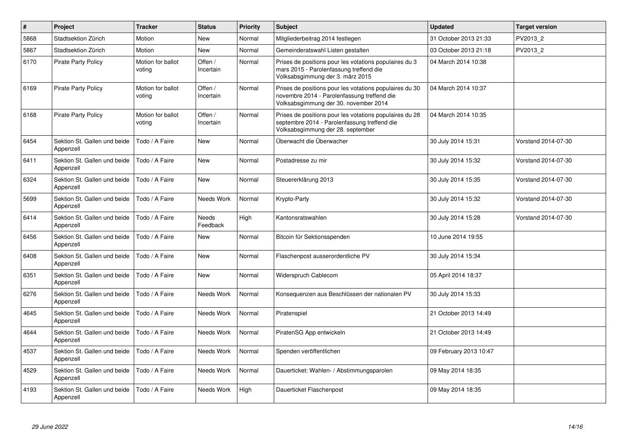| $\pmb{\#}$ | Project                                   | <b>Tracker</b>              | <b>Status</b>            | <b>Priority</b> | <b>Subject</b>                                                                                                                                  | <b>Updated</b>         | <b>Target version</b> |
|------------|-------------------------------------------|-----------------------------|--------------------------|-----------------|-------------------------------------------------------------------------------------------------------------------------------------------------|------------------------|-----------------------|
| 5868       | Stadtsektion Zürich                       | Motion                      | <b>New</b>               | Normal          | Mitgliederbeitrag 2014 festlegen                                                                                                                | 31 October 2013 21:33  | PV2013 2              |
| 5867       | Stadtsektion Zürich                       | Motion                      | <b>New</b>               | Normal          | Gemeinderatswahl Listen gestalten                                                                                                               | 03 October 2013 21:18  | PV2013_2              |
| 6170       | <b>Pirate Party Policy</b>                | Motion for ballot<br>voting | Offen /<br>Incertain     | Normal          | Prises de positions pour les votations populaires du 3<br>mars 2015 - Parolenfassung treffend die<br>Volksabsgimmung der 3. märz 2015           | 04 March 2014 10:38    |                       |
| 6169       | <b>Pirate Party Policy</b>                | Motion for ballot<br>voting | Offen /<br>Incertain     | Normal          | Prises de positions pour les votations populaires du 30<br>novembre 2014 - Parolenfassung treffend die<br>Volksabsgimmung der 30. november 2014 | 04 March 2014 10:37    |                       |
| 6168       | <b>Pirate Party Policy</b>                | Motion for ballot<br>voting | Offen /<br>Incertain     | Normal          | Prises de positions pour les votations populaires du 28<br>septembre 2014 - Parolenfassung treffend die<br>Volksabsgimmung der 28. september    | 04 March 2014 10:35    |                       |
| 6454       | Sektion St. Gallen und beide<br>Appenzell | Todo / A Faire              | <b>New</b>               | Normal          | Überwacht die Überwacher                                                                                                                        | 30 July 2014 15:31     | Vorstand 2014-07-30   |
| 6411       | Sektion St. Gallen und beide<br>Appenzell | Todo / A Faire              | <b>New</b>               | Normal          | Postadresse zu mir                                                                                                                              | 30 July 2014 15:32     | Vorstand 2014-07-30   |
| 6324       | Sektion St. Gallen und beide<br>Appenzell | Todo / A Faire              | New                      | Normal          | Steuererklärung 2013                                                                                                                            | 30 July 2014 15:35     | Vorstand 2014-07-30   |
| 5699       | Sektion St. Gallen und beide<br>Appenzell | Todo / A Faire              | Needs Work               | Normal          | Krypto-Party                                                                                                                                    | 30 July 2014 15:32     | Vorstand 2014-07-30   |
| 6414       | Sektion St. Gallen und beide<br>Appenzell | Todo / A Faire              | <b>Needs</b><br>Feedback | High            | Kantonsratswahlen                                                                                                                               | 30 July 2014 15:28     | Vorstand 2014-07-30   |
| 6456       | Sektion St. Gallen und beide<br>Appenzell | Todo / A Faire              | <b>New</b>               | Normal          | Bitcoin für Sektionsspenden                                                                                                                     | 10 June 2014 19:55     |                       |
| 6408       | Sektion St. Gallen und beide<br>Appenzell | Todo / A Faire              | <b>New</b>               | Normal          | Flaschenpost ausserordentliche PV                                                                                                               | 30 July 2014 15:34     |                       |
| 6351       | Sektion St. Gallen und beide<br>Appenzell | Todo / A Faire              | New                      | Normal          | Widerspruch Cablecom                                                                                                                            | 05 April 2014 18:37    |                       |
| 6276       | Sektion St. Gallen und beide<br>Appenzell | Todo / A Faire              | Needs Work               | Normal          | Konsequenzen aus Beschlüssen der nationalen PV                                                                                                  | 30 July 2014 15:33     |                       |
| 4645       | Sektion St. Gallen und beide<br>Appenzell | Todo / A Faire              | Needs Work               | Normal          | Piratenspiel                                                                                                                                    | 21 October 2013 14:49  |                       |
| 4644       | Sektion St. Gallen und beide<br>Appenzell | Todo / A Faire              | Needs Work               | Normal          | PiratenSG App entwickeln                                                                                                                        | 21 October 2013 14:49  |                       |
| 4537       | Sektion St. Gallen und beide<br>Appenzell | Todo / A Faire              | Needs Work               | Normal          | Spenden veröffentlichen                                                                                                                         | 09 February 2013 10:47 |                       |
| 4529       | Sektion St. Gallen und beide<br>Appenzell | Todo / A Faire              | Needs Work               | Normal          | Dauerticket: Wahlen- / Abstimmungsparolen                                                                                                       | 09 May 2014 18:35      |                       |
| 4193       | Sektion St. Gallen und beide<br>Appenzell | Todo / A Faire              | Needs Work               | High            | Dauerticket Flaschenpost                                                                                                                        | 09 May 2014 18:35      |                       |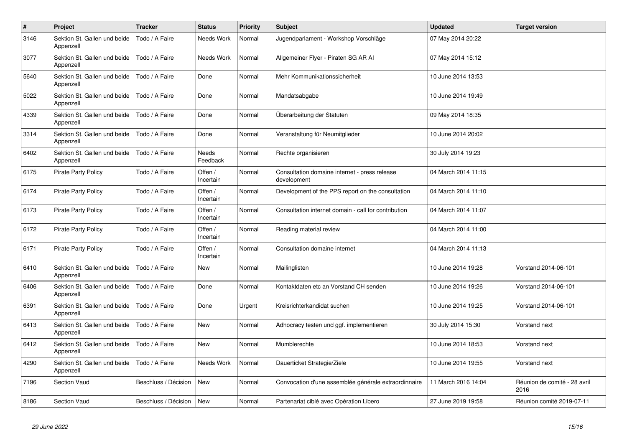| $\pmb{\#}$ | Project                                   | <b>Tracker</b>       | <b>Status</b>            | <b>Priority</b> | <b>Subject</b>                                               | <b>Updated</b>      | <b>Target version</b>                |
|------------|-------------------------------------------|----------------------|--------------------------|-----------------|--------------------------------------------------------------|---------------------|--------------------------------------|
| 3146       | Sektion St. Gallen und beide<br>Appenzell | Todo / A Faire       | Needs Work               | Normal          | Jugendparlament - Workshop Vorschläge                        | 07 May 2014 20:22   |                                      |
| 3077       | Sektion St. Gallen und beide<br>Appenzell | Todo / A Faire       | Needs Work               | Normal          | Allgemeiner Flyer - Piraten SG AR Al                         | 07 May 2014 15:12   |                                      |
| 5640       | Sektion St. Gallen und beide<br>Appenzell | Todo / A Faire       | Done                     | Normal          | Mehr Kommunikationssicherheit                                | 10 June 2014 13:53  |                                      |
| 5022       | Sektion St. Gallen und beide<br>Appenzell | Todo / A Faire       | Done                     | Normal          | Mandatsabgabe                                                | 10 June 2014 19:49  |                                      |
| 4339       | Sektion St. Gallen und beide<br>Appenzell | Todo / A Faire       | Done                     | Normal          | Überarbeitung der Statuten                                   | 09 May 2014 18:35   |                                      |
| 3314       | Sektion St. Gallen und beide<br>Appenzell | Todo / A Faire       | Done                     | Normal          | Veranstaltung für Neumitglieder                              | 10 June 2014 20:02  |                                      |
| 6402       | Sektion St. Gallen und beide<br>Appenzell | Todo / A Faire       | <b>Needs</b><br>Feedback | Normal          | Rechte organisieren                                          | 30 July 2014 19:23  |                                      |
| 6175       | Pirate Party Policy                       | Todo / A Faire       | Offen /<br>Incertain     | Normal          | Consultation domaine internet - press release<br>development | 04 March 2014 11:15 |                                      |
| 6174       | <b>Pirate Party Policy</b>                | Todo / A Faire       | Offen /<br>Incertain     | Normal          | Development of the PPS report on the consultation            | 04 March 2014 11:10 |                                      |
| 6173       | <b>Pirate Party Policy</b>                | Todo / A Faire       | Offen /<br>Incertain     | Normal          | Consultation internet domain - call for contribution         | 04 March 2014 11:07 |                                      |
| 6172       | <b>Pirate Party Policy</b>                | Todo / A Faire       | Offen /<br>Incertain     | Normal          | Reading material review                                      | 04 March 2014 11:00 |                                      |
| 6171       | <b>Pirate Party Policy</b>                | Todo / A Faire       | Offen /<br>Incertain     | Normal          | Consultation domaine internet                                | 04 March 2014 11:13 |                                      |
| 6410       | Sektion St. Gallen und beide<br>Appenzell | Todo / A Faire       | New                      | Normal          | Mailinglisten                                                | 10 June 2014 19:28  | Vorstand 2014-06-101                 |
| 6406       | Sektion St. Gallen und beide<br>Appenzell | Todo / A Faire       | Done                     | Normal          | Kontaktdaten etc an Vorstand CH senden                       | 10 June 2014 19:26  | Vorstand 2014-06-101                 |
| 6391       | Sektion St. Gallen und beide<br>Appenzell | Todo / A Faire       | Done                     | Urgent          | Kreisrichterkandidat suchen                                  | 10 June 2014 19:25  | Vorstand 2014-06-101                 |
| 6413       | Sektion St. Gallen und beide<br>Appenzell | Todo / A Faire       | <b>New</b>               | Normal          | Adhocracy testen und ggf. implementieren                     | 30 July 2014 15:30  | Vorstand next                        |
| 6412       | Sektion St. Gallen und beide<br>Appenzell | Todo / A Faire       | <b>New</b>               | Normal          | Mumblerechte                                                 | 10 June 2014 18:53  | Vorstand next                        |
| 4290       | Sektion St. Gallen und beide<br>Appenzell | Todo / A Faire       | Needs Work               | Normal          | Dauerticket Strategie/Ziele                                  | 10 June 2014 19:55  | Vorstand next                        |
| 7196       | <b>Section Vaud</b>                       | Beschluss / Décision | <b>New</b>               | Normal          | Convocation d'une assemblée générale extraordinnaire         | 11 March 2016 14:04 | Réunion de comité - 28 avril<br>2016 |
| 8186       | <b>Section Vaud</b>                       | Beschluss / Décision | <b>New</b>               | Normal          | Partenariat ciblé avec Opération Libero                      | 27 June 2019 19:58  | Réunion comité 2019-07-11            |